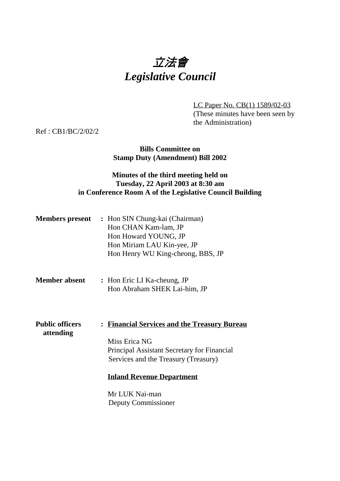# 立法會 *Legislative Council*

LC Paper No. CB(1) 1589/02-03 (These minutes have been seen by the Administration)

Ref : CB1/BC/2/02/2

### **Bills Committee on Stamp Duty (Amendment) Bill 2002**

### **Minutes of the third meeting held on Tuesday, 22 April 2003 at 8:30 am in Conference Room A of the Legislative Council Building**

| <b>Members present</b> | : Hon SIN Chung-kai (Chairman)    |
|------------------------|-----------------------------------|
|                        | Hon CHAN Kam-lam, JP              |
|                        | Hon Howard YOUNG, JP              |
|                        | Hon Miriam LAU Kin-yee, JP        |
|                        | Hon Henry WU King-cheong, BBS, JP |
|                        |                                   |

### **Member absent :** Hon Eric LI Ka-cheung, JP Hon Abraham SHEK Lai-him, JP

**Public officers : Financial Services and the Treasury Bureau attending** Miss Erica NG Principal Assistant Secretary for Financial Services and the Treasury (Treasury)

#### **Inland Revenue Department**

Mr LUK Nai-man Deputy Commissioner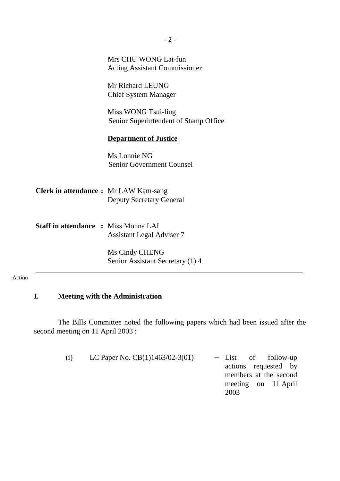|                                             | $-2-$                                                        |
|---------------------------------------------|--------------------------------------------------------------|
|                                             | Mrs CHU WONG Lai-fun<br><b>Acting Assistant Commissioner</b> |
|                                             | Mr Richard LEUNG<br><b>Chief System Manager</b>              |
|                                             | Miss WONG Tsui-ling<br>Senior Superintendent of Stamp Office |
|                                             | <b>Department of Justice</b>                                 |
|                                             | Ms Lonnie NG<br><b>Senior Government Counsel</b>             |
| <b>Clerk in attendance:</b> Mr LAW Kam-sang | <b>Deputy Secretary General</b>                              |
| <b>Staff in attendance : Miss Monna LAI</b> | <b>Assistant Legal Adviser 7</b>                             |
|                                             | Ms Cindy CHENG<br>Senior Assistant Secretary (1) 4           |

### Action

### **I. Meeting with the Administration**

The Bills Committee noted the following papers which had been issued after the second meeting on 11 April 2003 :

| - List of follow-up   |
|-----------------------|
| actions requested by  |
| members at the second |
| meeting on 11 April   |
| 2003                  |
|                       |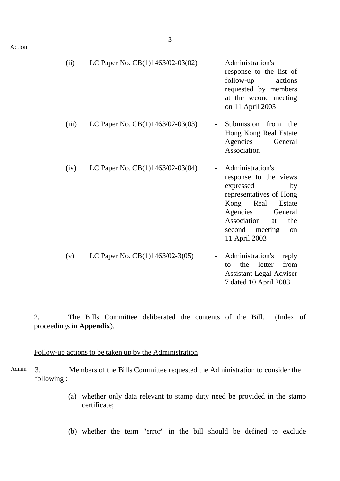| (11) | LC Paper No. $CB(1)1463/02-03(02)$ | - Administration's<br>response to the list of<br>follow-up actions<br>requested by members<br>at the second meeting<br>on 11 April 2003 |
|------|------------------------------------|-----------------------------------------------------------------------------------------------------------------------------------------|
|      |                                    |                                                                                                                                         |

- (iii) LC Paper No.  $CB(1)1463/02-03(03)$  Submission from the Hong Kong Real Estate Agencies General Association
- (iv) LC Paper No.  $CB(1)1463/02-03(04)$  Administration's response to the views expressed by representatives of Hong Kong Real Estate Agencies General Association at the second meeting on 11 April 2003 (v) LC Paper No.  $CB(1)1463/02-3(05)$  - Administration's reply
- to the letter from Assistant Legal Adviser 7 dated 10 April 2003

2. The Bills Committee deliberated the contents of the Bill. (Index of proceedings in **Appendix**).

#### Follow-up actions to be taken up by the Administration

- Admin 3. Members of the Bills Committee requested the Administration to consider the following :
	- (a) whether only data relevant to stamp duty need be provided in the stamp certificate;
	- (b) whether the term "error" in the bill should be defined to exclude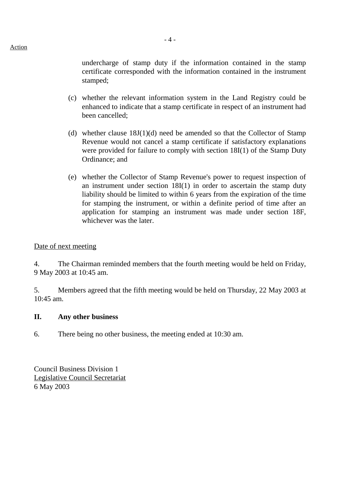undercharge of stamp duty if the information contained in the stamp certificate corresponded with the information contained in the instrument stamped;

- (c) whether the relevant information system in the Land Registry could be enhanced to indicate that a stamp certificate in respect of an instrument had been cancelled;
- (d) whether clause  $18J(1)(d)$  need be amended so that the Collector of Stamp Revenue would not cancel a stamp certificate if satisfactory explanations were provided for failure to comply with section 18I(1) of the Stamp Duty Ordinance; and
- (e) whether the Collector of Stamp Revenue's power to request inspection of an instrument under section 18I(1) in order to ascertain the stamp duty liability should be limited to within 6 years from the expiration of the time for stamping the instrument, or within a definite period of time after an application for stamping an instrument was made under section 18F, whichever was the later.

### Date of next meeting

4. The Chairman reminded members that the fourth meeting would be held on Friday, 9 May 2003 at 10:45 am.

5. Members agreed that the fifth meeting would be held on Thursday, 22 May 2003 at 10:45 am.

### **II. Any other business**

6. There being no other business, the meeting ended at 10:30 am.

Council Business Division 1 Legislative Council Secretariat 6 May 2003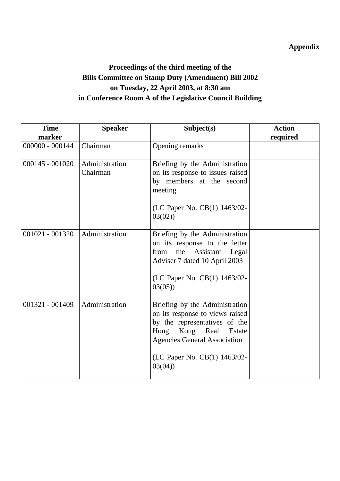### **Appendix**

## **Proceedings of the third meeting of the Bills Committee on Stamp Duty (Amendment) Bill 2002 on Tuesday, 22 April 2003, at 8:30 am in Conference Room A of the Legislative Council Building**

| <b>Time</b>       | <b>Speaker</b>             | Subject(s)                                                                                                                                                                                                      | <b>Action</b> |
|-------------------|----------------------------|-----------------------------------------------------------------------------------------------------------------------------------------------------------------------------------------------------------------|---------------|
| marker            |                            |                                                                                                                                                                                                                 | required      |
| $000000 - 000144$ | Chairman                   | Opening remarks                                                                                                                                                                                                 |               |
| $000145 - 001020$ | Administration<br>Chairman | Briefing by the Administration<br>on its response to issues raised<br>by members at the second<br>meeting<br>(LC Paper No. CB(1) 1463/02-<br>03(02)                                                             |               |
| 001021 - 001320   | Administration             | Briefing by the Administration<br>on its response to the letter<br>the Assistant Legal<br>from<br>Adviser 7 dated 10 April 2003<br>(LC Paper No. CB(1) 1463/02-<br>03(05)                                       |               |
| 001321 - 001409   | Administration             | Briefing by the Administration<br>on its response to views raised<br>by the representatives of the<br>Hong Kong Real<br>Estate<br><b>Agencies General Association</b><br>(LC Paper No. CB(1) 1463/02-<br>03(04) |               |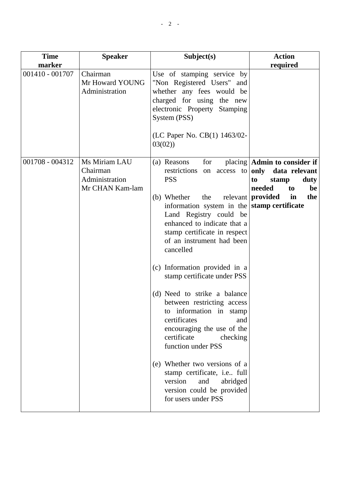| <b>Time</b>               | <b>Speaker</b>                                                 | Subject(s)                                                                                                                                                                                                                                                                                                                                                                                                                                                                                                                                                                                                                                                           | <b>Action</b>                                                                                                                                                                 |
|---------------------------|----------------------------------------------------------------|----------------------------------------------------------------------------------------------------------------------------------------------------------------------------------------------------------------------------------------------------------------------------------------------------------------------------------------------------------------------------------------------------------------------------------------------------------------------------------------------------------------------------------------------------------------------------------------------------------------------------------------------------------------------|-------------------------------------------------------------------------------------------------------------------------------------------------------------------------------|
| marker<br>001410 - 001707 | Chairman<br>Mr Howard YOUNG<br>Administration                  | Use of stamping service by<br>"Non Registered Users" and<br>whether any fees would be<br>charged for using the new<br>electronic Property Stamping<br>System (PSS)<br>(LC Paper No. CB(1) 1463/02-<br>03(02)                                                                                                                                                                                                                                                                                                                                                                                                                                                         | required                                                                                                                                                                      |
| 001708 - 004312           | Ms Miriam LAU<br>Chairman<br>Administration<br>Mr CHAN Kam-lam | for<br>(a) Reasons<br>restrictions on access to<br><b>PSS</b><br>(b) Whether<br>the<br>information system in the<br>Land Registry could be<br>enhanced to indicate that a<br>stamp certificate in respect<br>of an instrument had been<br>cancelled<br>(c) Information provided in a<br>stamp certificate under PSS<br>(d) Need to strike a balance<br>between restricting access<br>to information in stamp<br>certificates<br>and<br>encouraging the use of the<br>certificate<br>checking<br>function under PSS<br>(e) Whether two versions of a<br>stamp certificate, i.e full<br>version<br>and<br>abridged<br>version could be provided<br>for users under PSS | placing $\vert$ Admin to consider if $\vert$<br>only data relevant<br>duty<br>to<br>stamp<br>needed<br>be<br>to<br>relevant <b>provided</b><br>in<br>the<br>stamp certificate |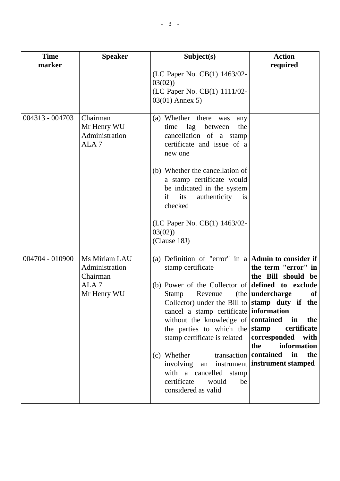| <b>Time</b>     | <b>Speaker</b>                                                                 | Subject(s)                                                                                                                                                                                                                                                                                                                                                                                                                                                                                  | <b>Action</b>                                                                                                                                                                                                         |
|-----------------|--------------------------------------------------------------------------------|---------------------------------------------------------------------------------------------------------------------------------------------------------------------------------------------------------------------------------------------------------------------------------------------------------------------------------------------------------------------------------------------------------------------------------------------------------------------------------------------|-----------------------------------------------------------------------------------------------------------------------------------------------------------------------------------------------------------------------|
| marker          |                                                                                |                                                                                                                                                                                                                                                                                                                                                                                                                                                                                             | required                                                                                                                                                                                                              |
|                 |                                                                                | (LC Paper No. CB(1) 1463/02-<br>03(02)<br>(LC Paper No. CB(1) 1111/02-<br>$03(01)$ Annex 5)                                                                                                                                                                                                                                                                                                                                                                                                 |                                                                                                                                                                                                                       |
| 004313 - 004703 | Chairman<br>Mr Henry WU<br>Administration<br>ALA <sub>7</sub>                  | (a) Whether there was<br>any<br>lag<br>between<br>the<br>time<br>cancellation of a stamp<br>certificate and issue of a<br>new one                                                                                                                                                                                                                                                                                                                                                           |                                                                                                                                                                                                                       |
|                 |                                                                                | (b) Whether the cancellation of<br>a stamp certificate would<br>be indicated in the system<br>if<br>authenticity<br>its<br><i>is</i><br>checked                                                                                                                                                                                                                                                                                                                                             |                                                                                                                                                                                                                       |
|                 |                                                                                | (LC Paper No. CB(1) 1463/02-<br>03(02)<br>(Clause 18J)                                                                                                                                                                                                                                                                                                                                                                                                                                      |                                                                                                                                                                                                                       |
| 004704 - 010900 | Ms Miriam LAU<br>Administration<br>Chairman<br>ALA <sub>7</sub><br>Mr Henry WU | (a) Definition of "error" in a $\bf{Admin}$ to consider if<br>stamp certificate<br>(b) Power of the Collector of<br>Revenue<br>Stamp<br>Collector) under the Bill to stamp duty if the<br>cancel a stamp certificate information<br>without the knowledge of <b>contained</b><br>the parties to which the stamp<br>stamp certificate is related<br>(c) Whether<br>involving an instrument instrument stamped<br>with a cancelled stamp<br>certificate<br>would<br>be<br>considered as valid | the term "error" in<br>the Bill should<br>be<br>defined to exclude<br>(the   undercharge<br>of<br>in<br>the<br>certificate<br>corresponded<br>with<br>the<br>information<br>transaction <b>contained</b><br>in<br>the |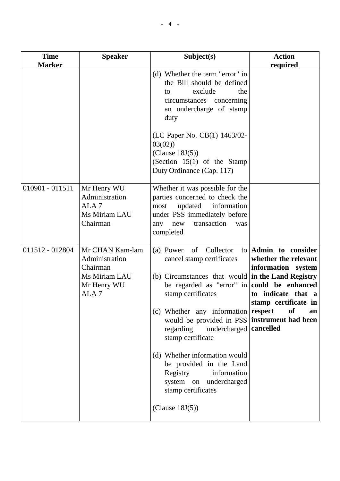| <b>Time</b><br><b>Marker</b> | <b>Speaker</b>                                                                                    | Subject(s)                                                                                                                                                                                                                                                                                                                                                                                                                                                                                | <b>Action</b><br>required                                                                                                                                |
|------------------------------|---------------------------------------------------------------------------------------------------|-------------------------------------------------------------------------------------------------------------------------------------------------------------------------------------------------------------------------------------------------------------------------------------------------------------------------------------------------------------------------------------------------------------------------------------------------------------------------------------------|----------------------------------------------------------------------------------------------------------------------------------------------------------|
|                              |                                                                                                   | (d) Whether the term "error" in<br>the Bill should be defined<br>exclude<br>the<br>to<br>circumstances concerning<br>an undercharge of stamp<br>duty<br>(LC Paper No. CB(1) 1463/02-<br>03(02)<br>(Clause 18J(5))<br>(Section $15(1)$ of the Stamp<br>Duty Ordinance (Cap. 117)                                                                                                                                                                                                           |                                                                                                                                                          |
| $010901 - 011511$            | Mr Henry WU<br>Administration<br>ALA <sub>7</sub><br>Ms Miriam LAU<br>Chairman                    | Whether it was possible for the<br>parties concerned to check the<br>information<br>updated<br>most<br>under PSS immediately before<br>transaction<br>any<br>new<br>was<br>completed                                                                                                                                                                                                                                                                                                      |                                                                                                                                                          |
| 011512 - 012804              | Mr CHAN Kam-lam<br>Administration<br>Chairman<br>Ms Miriam LAU<br>Mr Henry WU<br>ALA <sub>7</sub> | of<br>Collector<br>(a) Power<br>to<br>cancel stamp certificates<br>(b) Circumstances that would in the Land Registry<br>be regarded as "error" in<br>stamp certificates<br>(c) Whether any information respect<br>would be provided in PSS instrument had been<br>regarding<br>undercharged   cancelled<br>stamp certificate<br>(d) Whether information would<br>be provided in the Land<br>Registry<br>information<br>system on undercharged<br>stamp certificates<br>(Clause $18J(5)$ ) | Admin to consider<br>whether the relevant<br>information system<br>could be enhanced<br>indicate that a<br>to<br>stamp certificate in<br><b>of</b><br>an |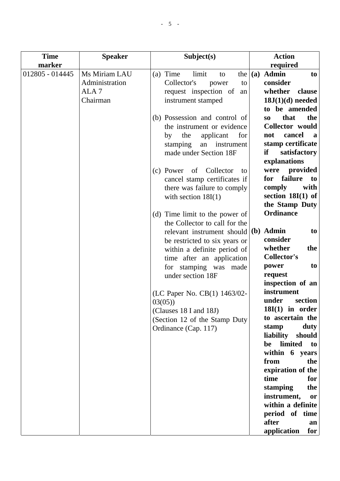| <b>Time</b>     | <b>Speaker</b>   | Subject(s)                     | <b>Action</b>                 |
|-----------------|------------------|--------------------------------|-------------------------------|
| marker          |                  |                                | required                      |
| 012805 - 014445 | Ms Miriam LAU    | (a) Time<br>limit<br>the<br>to | (a) Admin<br>to               |
|                 | Administration   | Collector's<br>to<br>power     | consider                      |
|                 | ALA <sub>7</sub> | request inspection of<br>an    | whether<br>clause             |
|                 | Chairman         | instrument stamped             | $18J(1)(d)$ needed            |
|                 |                  |                                | to be amended                 |
|                 |                  | (b) Possession and control of  | that<br>the<br>S <sub>O</sub> |
|                 |                  | the instrument or evidence     | Collector would               |
|                 |                  | the<br>applicant<br>for<br>by  | cancel<br>not<br>a            |
|                 |                  | stamping<br>an<br>instrument   | stamp certificate             |
|                 |                  | made under Section 18F         | if<br>satisfactory            |
|                 |                  |                                | explanations                  |
|                 |                  | (c) Power of Collector<br>to   | provided<br>were              |
|                 |                  | cancel stamp certificates if   | failure<br>for<br>to          |
|                 |                  | there was failure to comply    | comply<br>with                |
|                 |                  | with section $18I(1)$          | section $18I(1)$ of           |
|                 |                  |                                | the Stamp Duty                |
|                 |                  | (d) Time limit to the power of | <b>Ordinance</b>              |
|                 |                  | the Collector to call for the  |                               |
|                 |                  | relevant instrument should     | (b) Admin<br>to               |
|                 |                  | be restricted to six years or  | consider                      |
|                 |                  | within a definite period of    | whether<br>the                |
|                 |                  | time after an application      | <b>Collector's</b>            |
|                 |                  | for stamping was<br>made       | to<br>power                   |
|                 |                  | under section 18F              | request                       |
|                 |                  |                                | inspection of an              |
|                 |                  |                                | instrument                    |
|                 |                  | (LC Paper No. CB(1) 1463/02-   | under<br>section              |
|                 |                  | 03(05)                         | $18I(1)$ in order             |
|                 |                  | (Clauses 18 I and 18J)         | to ascertain the              |
|                 |                  | (Section 12 of the Stamp Duty  | duty<br>stamp                 |
|                 |                  | Ordinance (Cap. 117)           | liability<br>should           |
|                 |                  |                                | limited<br>be<br>to           |
|                 |                  |                                | within 6 years                |
|                 |                  |                                | from<br>the                   |
|                 |                  |                                | expiration of the             |
|                 |                  |                                | time<br>for                   |
|                 |                  |                                | stamping<br>the               |
|                 |                  |                                | instrument,<br>or             |
|                 |                  |                                | within a definite             |
|                 |                  |                                | period of time                |
|                 |                  |                                | after<br>an                   |
|                 |                  |                                | application<br>for            |